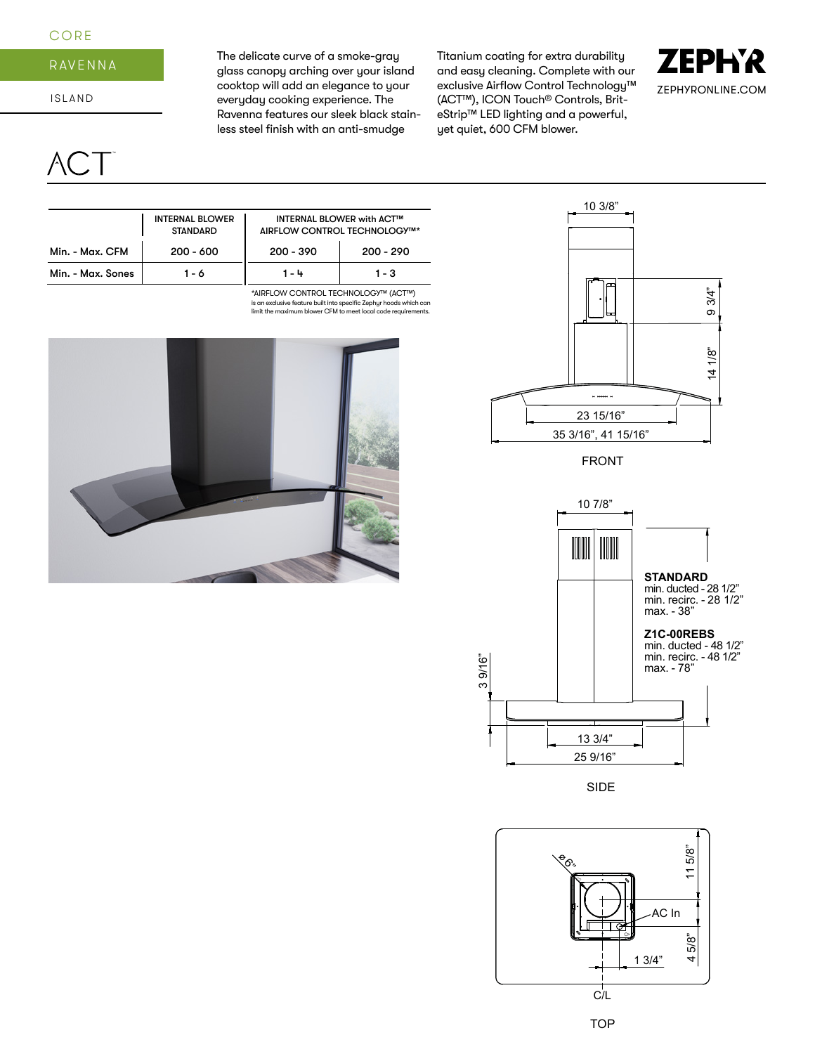## **CORE**

# RAVENNA

ISLAND

CT<sup>-</sup>

The delicate curve of a smoke-gray glass canopy arching over your island cooktop will add an elegance to your everyday cooking experience. The Ravenna features our sleek black stainless steel finish with an anti-smudge

Titanium coating for extra durability and easy cleaning. Complete with our exclusive Airflow Control Technology™ (ACT™), ICON Touch® Controls, BriteStrip™ LED lighting and a powerful, yet quiet, 600 CFM blower.





FRONT



SIDE



|                   | <b>INTERNAL BLOWER</b><br><b>STANDARD</b> | <b>INTERNAL BLOWER with ACT™</b><br>AIRFLOW CONTROL TECHNOLOGY™* |             |  |
|-------------------|-------------------------------------------|------------------------------------------------------------------|-------------|--|
| Min. - Max. CFM   | $200 - 600$                               | $200 - 390$                                                      | $200 - 290$ |  |
| Min. - Max. Sones | 1 - 6                                     | 1 - 4                                                            | $1 - 3$     |  |
|                   |                                           | $\star$ LIDELOULLOONITROLLTEOLINIOLOOMIALATIIN                   |             |  |

\*AIRFLOW CONTROL TECHNOLOGY™ (ACT™) is an exclusive feature built into specific Zephyr hoods which can limit the maximum blower CFM to meet local code requirements.